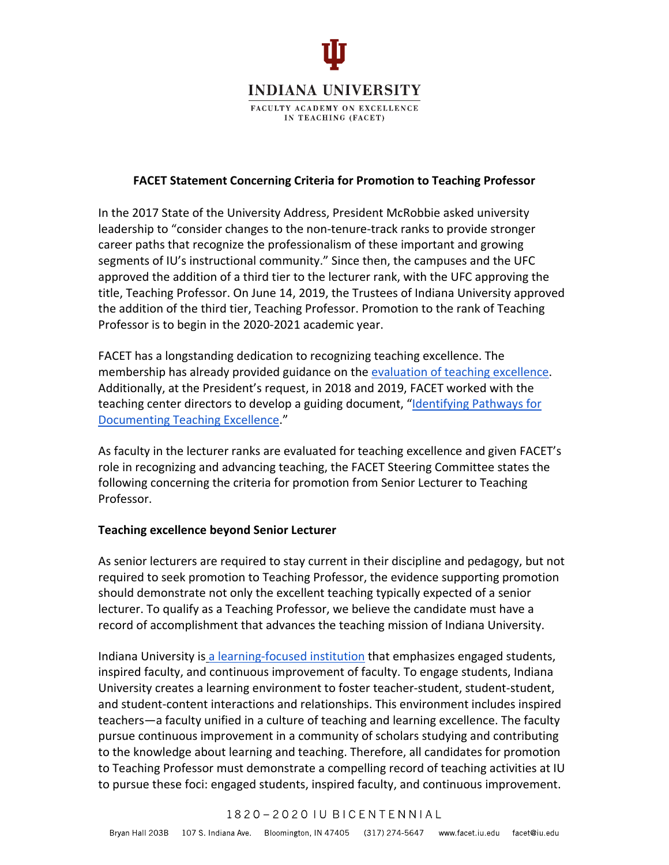

### **FACET Statement Concerning Criteria for Promotion to Teaching Professor**

In the 2017 State of the University Address, President McRobbie asked university leadership to "consider changes to the non-tenure-track ranks to provide stronger career paths that recognize the professionalism of these important and growing segments of IU's instructional community." Since then, the campuses and the UFC approved the addition of a third tier to the lecturer rank, with the UFC approving the title, Teaching Professor. On June 14, 2019, the Trustees of Indiana University approved the addition of the third tier, Teaching Professor. Promotion to the rank of Teaching Professor is to begin in the 2020-2021 academic year.

FACET has a longstanding dedication to recognizing teaching excellence. The membership has already provided guidance on the [evaluation of teaching excellence.](https://facet.iu.edu/doc/FACET_ExcellenceTeaching_ApprovedMay2015.pdf) Additionally, at the President's request, in 2018 and 2019, FACET worked with the teaching center directors to develop a guiding document, "Identifying Pathways for [Documenting Teaching Excellence.](https://iu.app.box.com/s/qbdf1z8hlosngbm23g5x8s7fij6gdiyd)"

As faculty in the lecturer ranks are evaluated for teaching excellence and given FACET's role in recognizing and advancing teaching, the FACET Steering Committee states the following concerning the criteria for promotion from Senior Lecturer to Teaching Professor.

### **Teaching excellence beyond Senior Lecturer**

As senior lecturers are required to stay current in their discipline and pedagogy, but not required to seek promotion to Teaching Professor, the evidence supporting promotion should demonstrate not only the excellent teaching typically expected of a senior lecturer. To qualify as a Teaching Professor, we believe the candidate must have a record of accomplishment that advances the teaching mission of Indiana University.

Indiana University is [a learning-focused institution](https://iu.app.box.com/s/o6myfq775o16hsrky00j9ejraoqijzcj) that emphasizes engaged students, inspired faculty, and continuous improvement of faculty. To engage students, Indiana University creates a learning environment to foster teacher-student, student-student, and student-content interactions and relationships. This environment includes inspired teachers—a faculty unified in a culture of teaching and learning excellence. The faculty pursue continuous improvement in a community of scholars studying and contributing to the knowledge about learning and teaching. Therefore, all candidates for promotion to Teaching Professor must demonstrate a compelling record of teaching activities at IU to pursue these foci: engaged students, inspired faculty, and continuous improvement.

### 1820-2020 IU BICENTENNIAL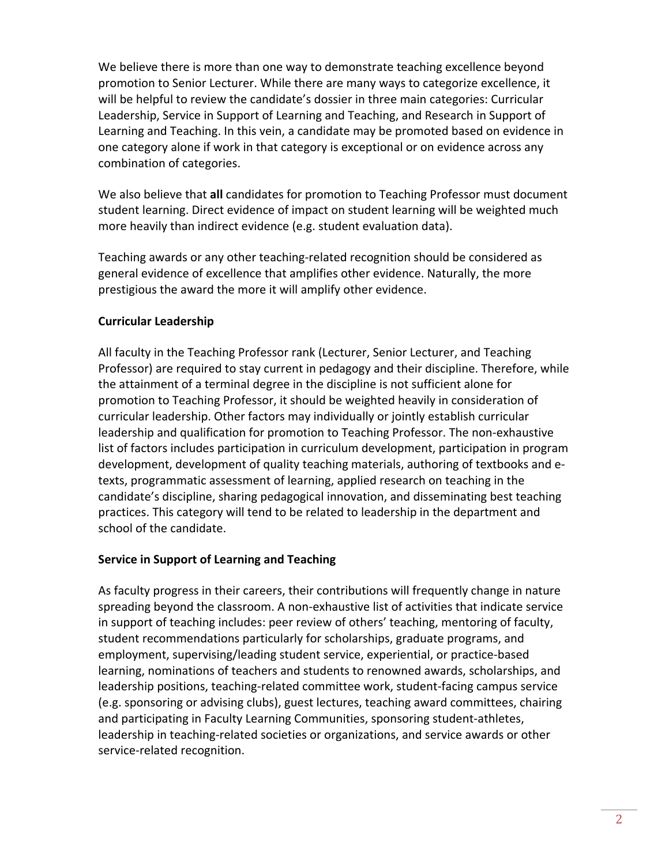We believe there is more than one way to demonstrate teaching excellence beyond promotion to Senior Lecturer. While there are many ways to categorize excellence, it will be helpful to review the candidate's dossier in three main categories: Curricular Leadership, Service in Support of Learning and Teaching, and Research in Support of Learning and Teaching. In this vein, a candidate may be promoted based on evidence in one category alone if work in that category is exceptional or on evidence across any combination of categories.

We also believe that **all** candidates for promotion to Teaching Professor must document student learning. Direct evidence of impact on student learning will be weighted much more heavily than indirect evidence (e.g. student evaluation data).

Teaching awards or any other teaching-related recognition should be considered as general evidence of excellence that amplifies other evidence. Naturally, the more prestigious the award the more it will amplify other evidence.

# **Curricular Leadership**

All faculty in the Teaching Professor rank (Lecturer, Senior Lecturer, and Teaching Professor) are required to stay current in pedagogy and their discipline. Therefore, while the attainment of a terminal degree in the discipline is not sufficient alone for promotion to Teaching Professor, it should be weighted heavily in consideration of curricular leadership. Other factors may individually or jointly establish curricular leadership and qualification for promotion to Teaching Professor. The non-exhaustive list of factors includes participation in curriculum development, participation in program development, development of quality teaching materials, authoring of textbooks and etexts, programmatic assessment of learning, applied research on teaching in the candidate's discipline, sharing pedagogical innovation, and disseminating best teaching practices. This category will tend to be related to leadership in the department and school of the candidate.

## **Service in Support of Learning and Teaching**

As faculty progress in their careers, their contributions will frequently change in nature spreading beyond the classroom. A non-exhaustive list of activities that indicate service in support of teaching includes: peer review of others' teaching, mentoring of faculty, student recommendations particularly for scholarships, graduate programs, and employment, supervising/leading student service, experiential, or practice-based learning, nominations of teachers and students to renowned awards, scholarships, and leadership positions, teaching-related committee work, student-facing campus service (e.g. sponsoring or advising clubs), guest lectures, teaching award committees, chairing and participating in Faculty Learning Communities, sponsoring student-athletes, leadership in teaching-related societies or organizations, and service awards or other service-related recognition.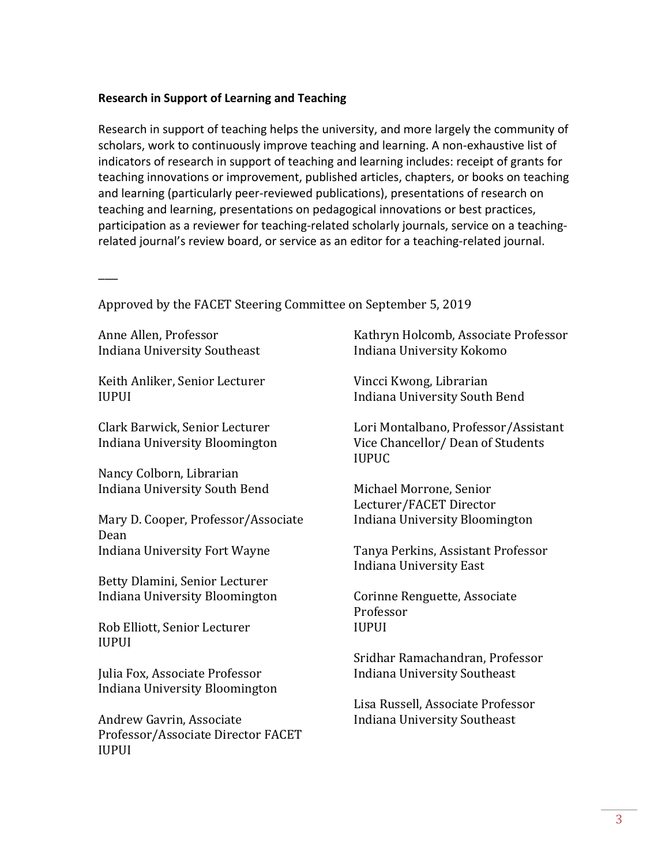### **Research in Support of Learning and Teaching**

Research in support of teaching helps the university, and more largely the community of scholars, work to continuously improve teaching and learning. A non-exhaustive list of indicators of research in support of teaching and learning includes: receipt of grants for teaching innovations or improvement, published articles, chapters, or books on teaching and learning (particularly peer-reviewed publications), presentations of research on teaching and learning, presentations on pedagogical innovations or best practices, participation as a reviewer for teaching-related scholarly journals, service on a teachingrelated journal's review board, or service as an editor for a teaching-related journal.

Approved by the FACET Steering Committee on September 5, 2019

Anne Allen, Professor Indiana University Southeast

 $\overline{\phantom{a}}$ 

Keith Anliker, Senior Lecturer IUPUI

Clark Barwick, Senior Lecturer Indiana University Bloomington

Nancy Colborn, Librarian Indiana University South Bend

Mary D. Cooper, Professor/Associate Dean Indiana University Fort Wayne

Betty Dlamini, Senior Lecturer Indiana University Bloomington

Rob Elliott, Senior Lecturer IUPUI

Julia Fox, Associate Professor Indiana University Bloomington

Andrew Gavrin, Associate Professor/Associate Director FACET IUPUI

Kathryn Holcomb, Associate Professor Indiana University Kokomo

Vincci Kwong, Librarian Indiana University South Bend

Lori Montalbano, Professor/Assistant Vice Chancellor/ Dean of Students IUPUC

Michael Morrone, Senior Lecturer/FACET Director Indiana University Bloomington

Tanya Perkins, Assistant Professor Indiana University East

Corinne Renguette, Associate Professor IUPUI

Sridhar Ramachandran, Professor Indiana University Southeast

Lisa Russell, Associate Professor Indiana University Southeast